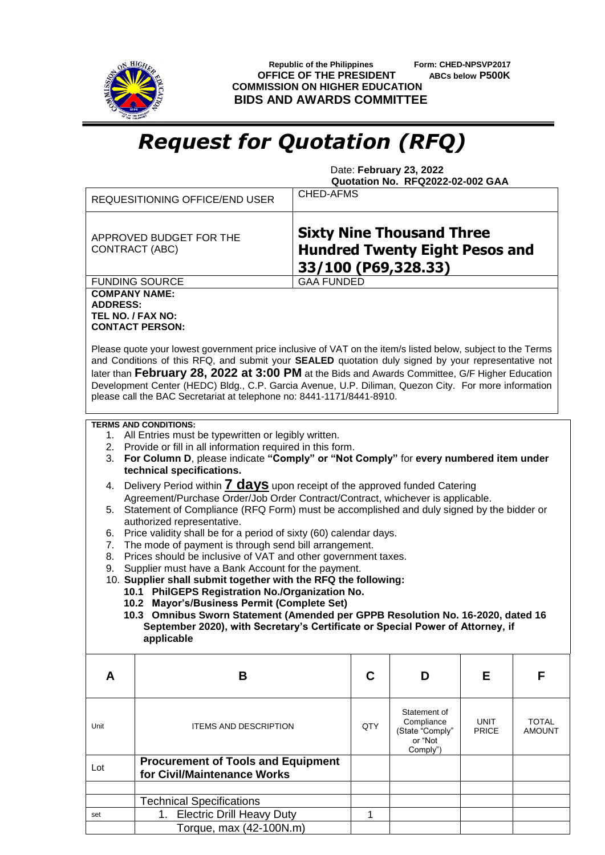

 **Republic of the Philippines Form: CHED-NPSVP2017 OFFICE OF THE PRESIDENT ABCs below P500K COMMISSION ON HIGHER EDUCATION BIDS AND AWARDS COMMITTEE**

## *Request for Quotation (RFQ)*

 Date: **February 23, 2022 Quotation No. RFQ2022-02-002 GAA**

|                                                                                                                                                                                                                                                                                                                                                                                                                                                                                                                                                                                                                                                                                                                                                                                                                                                                                                                                                                                                                                                                                                                                                                                                                                       | REQUESITIONING OFFICE/END USER                                                                                                                                                                                                                                                                                                                                                                                                                                                                                                                       | CHED-AFMS         |                                                                      |                             |                               |  |  |  |  |
|---------------------------------------------------------------------------------------------------------------------------------------------------------------------------------------------------------------------------------------------------------------------------------------------------------------------------------------------------------------------------------------------------------------------------------------------------------------------------------------------------------------------------------------------------------------------------------------------------------------------------------------------------------------------------------------------------------------------------------------------------------------------------------------------------------------------------------------------------------------------------------------------------------------------------------------------------------------------------------------------------------------------------------------------------------------------------------------------------------------------------------------------------------------------------------------------------------------------------------------|------------------------------------------------------------------------------------------------------------------------------------------------------------------------------------------------------------------------------------------------------------------------------------------------------------------------------------------------------------------------------------------------------------------------------------------------------------------------------------------------------------------------------------------------------|-------------------|----------------------------------------------------------------------|-----------------------------|-------------------------------|--|--|--|--|
|                                                                                                                                                                                                                                                                                                                                                                                                                                                                                                                                                                                                                                                                                                                                                                                                                                                                                                                                                                                                                                                                                                                                                                                                                                       | <b>Sixty Nine Thousand Three</b><br>APPROVED BUDGET FOR THE<br><b>Hundred Twenty Eight Pesos and</b><br>CONTRACT (ABC)<br>33/100 (P69,328.33)                                                                                                                                                                                                                                                                                                                                                                                                        |                   |                                                                      |                             |                               |  |  |  |  |
|                                                                                                                                                                                                                                                                                                                                                                                                                                                                                                                                                                                                                                                                                                                                                                                                                                                                                                                                                                                                                                                                                                                                                                                                                                       | <b>FUNDING SOURCE</b>                                                                                                                                                                                                                                                                                                                                                                                                                                                                                                                                | <b>GAA FUNDED</b> |                                                                      |                             |                               |  |  |  |  |
| <b>COMPANY NAME:</b><br><b>ADDRESS:</b>                                                                                                                                                                                                                                                                                                                                                                                                                                                                                                                                                                                                                                                                                                                                                                                                                                                                                                                                                                                                                                                                                                                                                                                               | TEL NO. / FAX NO:<br><b>CONTACT PERSON:</b><br>Please quote your lowest government price inclusive of VAT on the item/s listed below, subject to the Terms<br>and Conditions of this RFQ, and submit your SEALED quotation duly signed by your representative not<br>later than February 28, 2022 at 3:00 PM at the Bids and Awards Committee, G/F Higher Education<br>Development Center (HEDC) Bldg., C.P. Garcia Avenue, U.P. Diliman, Quezon City. For more information<br>please call the BAC Secretariat at telephone no: 8441-1171/8441-8910. |                   |                                                                      |                             |                               |  |  |  |  |
| <b>TERMS AND CONDITIONS:</b><br>1. All Entries must be typewritten or legibly written.<br>Provide or fill in all information required in this form.<br>2.<br>For Column D, please indicate "Comply" or "Not Comply" for every numbered item under<br>3.<br>technical specifications.<br>Delivery Period within <b>7 days</b> upon receipt of the approved funded Catering<br>4.<br>Agreement/Purchase Order/Job Order Contract/Contract, whichever is applicable.<br>Statement of Compliance (RFQ Form) must be accomplished and duly signed by the bidder or<br>5.<br>authorized representative.<br>Price validity shall be for a period of sixty (60) calendar days.<br>6.<br>The mode of payment is through send bill arrangement.<br>7.<br>Prices should be inclusive of VAT and other government taxes.<br>8.<br>Supplier must have a Bank Account for the payment.<br>9.<br>10. Supplier shall submit together with the RFQ the following:<br>10.1 PhilGEPS Registration No./Organization No.<br>10.2 Mayor's/Business Permit (Complete Set)<br>10.3 Omnibus Sworn Statement (Amended per GPPB Resolution No. 16-2020, dated 16<br>September 2020), with Secretary's Certificate or Special Power of Attorney, if<br>applicable |                                                                                                                                                                                                                                                                                                                                                                                                                                                                                                                                                      |                   |                                                                      |                             |                               |  |  |  |  |
| A                                                                                                                                                                                                                                                                                                                                                                                                                                                                                                                                                                                                                                                                                                                                                                                                                                                                                                                                                                                                                                                                                                                                                                                                                                     | B                                                                                                                                                                                                                                                                                                                                                                                                                                                                                                                                                    | C                 | D                                                                    | Е                           | F                             |  |  |  |  |
| Unit                                                                                                                                                                                                                                                                                                                                                                                                                                                                                                                                                                                                                                                                                                                                                                                                                                                                                                                                                                                                                                                                                                                                                                                                                                  | <b>ITEMS AND DESCRIPTION</b>                                                                                                                                                                                                                                                                                                                                                                                                                                                                                                                         | QTY               | Statement of<br>Compliance<br>(State "Comply"<br>or "Not<br>Comply") | <b>UNIT</b><br><b>PRICE</b> | <b>TOTAL</b><br><b>AMOUNT</b> |  |  |  |  |
| Lot                                                                                                                                                                                                                                                                                                                                                                                                                                                                                                                                                                                                                                                                                                                                                                                                                                                                                                                                                                                                                                                                                                                                                                                                                                   | <b>Procurement of Tools and Equipment</b><br>for Civil/Maintenance Works                                                                                                                                                                                                                                                                                                                                                                                                                                                                             |                   |                                                                      |                             |                               |  |  |  |  |
|                                                                                                                                                                                                                                                                                                                                                                                                                                                                                                                                                                                                                                                                                                                                                                                                                                                                                                                                                                                                                                                                                                                                                                                                                                       |                                                                                                                                                                                                                                                                                                                                                                                                                                                                                                                                                      |                   |                                                                      |                             |                               |  |  |  |  |
| set                                                                                                                                                                                                                                                                                                                                                                                                                                                                                                                                                                                                                                                                                                                                                                                                                                                                                                                                                                                                                                                                                                                                                                                                                                   | <b>Technical Specifications</b><br><b>Electric Drill Heavy Duty</b><br>1.                                                                                                                                                                                                                                                                                                                                                                                                                                                                            | 1                 |                                                                      |                             |                               |  |  |  |  |
|                                                                                                                                                                                                                                                                                                                                                                                                                                                                                                                                                                                                                                                                                                                                                                                                                                                                                                                                                                                                                                                                                                                                                                                                                                       | Torque, max (42-100N.m)                                                                                                                                                                                                                                                                                                                                                                                                                                                                                                                              |                   |                                                                      |                             |                               |  |  |  |  |
|                                                                                                                                                                                                                                                                                                                                                                                                                                                                                                                                                                                                                                                                                                                                                                                                                                                                                                                                                                                                                                                                                                                                                                                                                                       |                                                                                                                                                                                                                                                                                                                                                                                                                                                                                                                                                      |                   |                                                                      |                             |                               |  |  |  |  |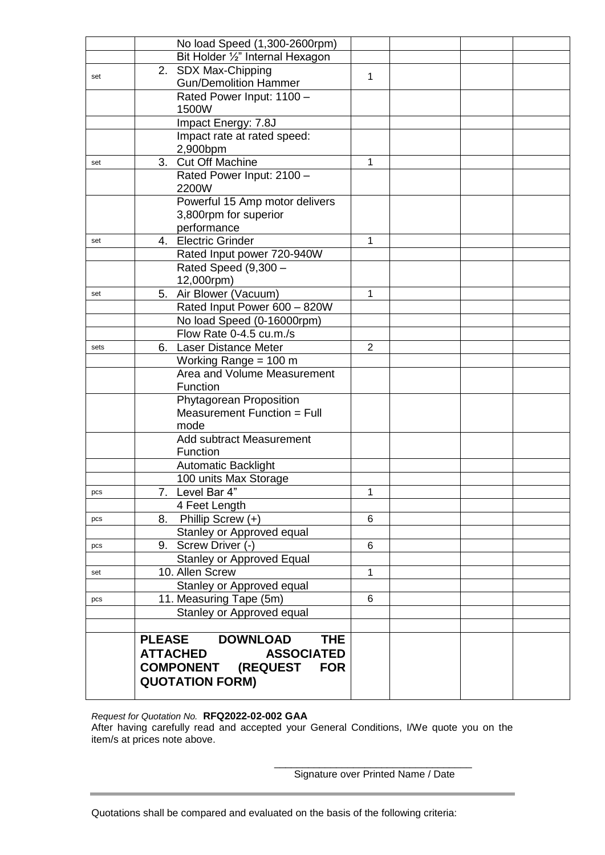|      | No load Speed (1,300-2600rpm)                             |                |  |  |
|------|-----------------------------------------------------------|----------------|--|--|
|      | Bit Holder 1/2" Internal Hexagon                          |                |  |  |
|      | 2. SDX Max-Chipping                                       |                |  |  |
| set  | <b>Gun/Demolition Hammer</b>                              | 1              |  |  |
|      | Rated Power Input: 1100 -                                 |                |  |  |
|      | 1500W                                                     |                |  |  |
|      | Impact Energy: 7.8J                                       |                |  |  |
|      | Impact rate at rated speed:                               |                |  |  |
|      | 2,900bpm                                                  |                |  |  |
| set  | Cut Off Machine<br>3.                                     | 1              |  |  |
|      | Rated Power Input: 2100 -                                 |                |  |  |
|      | 2200W                                                     |                |  |  |
|      | Powerful 15 Amp motor delivers                            |                |  |  |
|      | 3,800rpm for superior                                     |                |  |  |
|      | performance                                               |                |  |  |
| set  | 4. Electric Grinder                                       | 1              |  |  |
|      | Rated Input power 720-940W                                |                |  |  |
|      | Rated Speed (9,300 -                                      |                |  |  |
|      | 12,000rpm)                                                |                |  |  |
| set  | Air Blower (Vacuum)<br>5.<br>Rated Input Power 600 - 820W | 1              |  |  |
|      | No load Speed (0-16000rpm)                                |                |  |  |
|      | Flow Rate 0-4.5 cu.m./s                                   |                |  |  |
| sets | <b>Laser Distance Meter</b><br>6.                         | $\overline{2}$ |  |  |
|      | Working Range = 100 m                                     |                |  |  |
|      | Area and Volume Measurement                               |                |  |  |
|      | Function                                                  |                |  |  |
|      | Phytagorean Proposition                                   |                |  |  |
|      | Measurement Function = Full                               |                |  |  |
|      | mode                                                      |                |  |  |
|      | <b>Add subtract Measurement</b>                           |                |  |  |
|      | Function                                                  |                |  |  |
|      | Automatic Backlight                                       |                |  |  |
|      | 100 units Max Storage                                     |                |  |  |
| pcs  | 7. Level Bar 4"                                           | 1              |  |  |
|      | 4 Feet Length                                             |                |  |  |
| pcs  | Phillip Screw $(+)$<br>8.                                 | 6              |  |  |
|      | Stanley or Approved equal                                 |                |  |  |
| pcs  | 9. Screw Driver (-)                                       | 6              |  |  |
|      | <b>Stanley or Approved Equal</b>                          |                |  |  |
| set  | 10. Allen Screw                                           | 1              |  |  |
|      | Stanley or Approved equal                                 |                |  |  |
| pcs  | 11. Measuring Tape (5m)                                   | 6              |  |  |
|      | Stanley or Approved equal                                 |                |  |  |
|      | <b>PLEASE</b>                                             |                |  |  |
|      | <b>DOWNLOAD</b><br><b>THE</b>                             |                |  |  |
|      | <b>ATTACHED</b><br><b>ASSOCIATED</b>                      |                |  |  |
|      | <b>COMPONENT (REQUEST</b><br><b>FOR</b>                   |                |  |  |
|      | <b>QUOTATION FORM)</b>                                    |                |  |  |
|      |                                                           |                |  |  |

*Request for Quotation No.* **RFQ2022-02-002 GAA** After having carefully read and accepted your General Conditions, I/We quote you on the item/s at prices note above.

> \_\_\_\_\_\_\_\_\_\_\_\_\_\_\_\_\_\_\_\_\_\_\_\_\_\_\_\_\_\_\_\_\_\_\_ Signature over Printed Name / Date

Quotations shall be compared and evaluated on the basis of the following criteria: